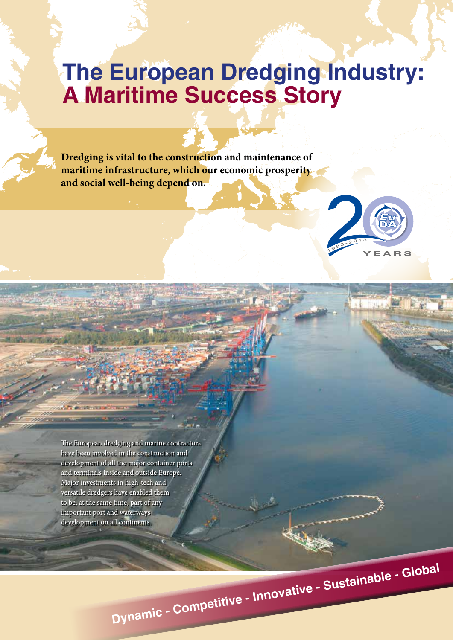# **The European Dredging Industry: A Maritime Success Story**

**Dredging is vital to the construction and maintenance of maritime infrastructure, which our economic prosperity and social well-being depend on.**



 $-31 - 4.26$ 

The European dredging and marine contractors have been involved in the construction and development of all the major container ports and terminals inside and outside Europe. Major investments in high-tech and versatile dredgers have enabled them to be, at the same time, part of any important port and waterways development on all continents.

**Dynamic - Competitive - Innovative - Sustainable - Global**

Major investments in jumbo and mega trailers have increased sand and gravel transporting capacity and opened new markets. The ability to transport sand and other sand and other sand and dredge material over hundreds of the total over hundreds of the total over hundreds and to dredge in very deep made possible enormous materials and the expansion of Hong Kong's such as the expansion of Hong Kong's such as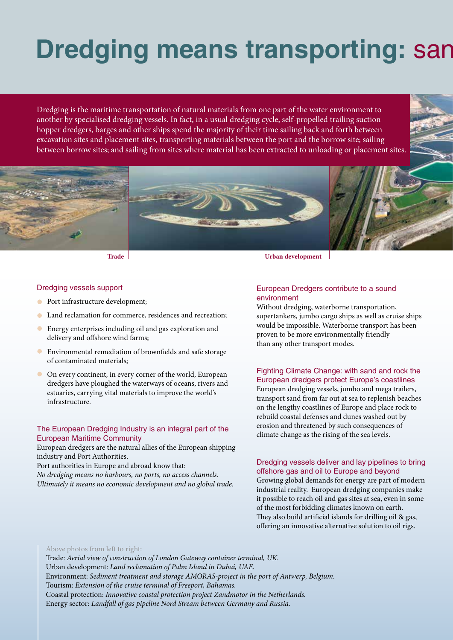# **Dredging means transporting: sand, rock, subsetion, subsetion, resp.man.**

Dredging is the maritime transportation of natural materials from one part of the water environment to another by specialised dredging vessels. In fact, in a usual dredging cycle, self-propelled trailing suction hopper dredgers, barges and other ships spend the majority of their time sailing back and forth between excavation sites and placement sites, transporting materials between the port and the borrow site; sailing between borrow sites; and sailing from sites where material has been extracted to unloading or placement sites.





**Trade Urban development**

### Dredging vessels support

- **•** Port infrastructure development;
- Land reclamation for commerce, residences and recreation;
- Energy enterprises including oil and gas exploration and delivery and offshore wind farms;
- Environmental remediation of brownfields and safe storage of contaminated materials;
- On every continent, in every corner of the world, European dredgers have ploughed the waterways of oceans, rivers and estuaries, carrying vital materials to improve the world's infrastructure.

## The European Dredging Industry is an integral part of the European Maritime Community

European dredgers are the natural allies of the European shipping industry and Port Authorities.

Port authorities in Europe and abroad know that:

*No dredging means no harbours, no ports, no access channels. Ultimately it means no economic development and no global trade.*

# European Dredgers contribute to a sound environment

Without dredging, waterborne transportation, supertankers, jumbo cargo ships as well as cruise ships would be impossible. Waterborne transport has been proven to be more environmentally friendly than any other transport modes.

## Fighting Climate Change: with sand and rock the European dredgers protect Europe's coastlines

European dredging vessels, jumbo and mega trailers, transport sand from far out at sea to replenish beaches on the lengthy coastlines of Europe and place rock to rebuild coastal defenses and dunes washed out by erosion and threatened by such consequences of climate change as the rising of the sea levels.

## Dredging vessels deliver and lay pipelines to bring offshore gas and oil to Europe and beyond

Growing global demands for energy are part of modern industrial reality. European dredging companies make it possible to reach oil and gas sites at sea, even in some of the most forbidding climates known on earth. They also build artificial islands for drilling oil & gas, offering an innovative alternative solution to oil rigs.

### Above photos from left to right:

Trade: *Aerial view of construction of London Gateway container terminal, UK.* Urban development: *Land reclamation of Palm Island in Dubai, UAE.*  Environment: *Sediment treatment and storage AMORAS-project in the port of Antwerp, Belgium.*  Tourism: *Extension of the cruise terminal of Freeport, Bahamas.*  Coastal protection: *Innovative coastal protection project Zandmotor in the Netherlands.* Energy sector: *Landfall of gas pipeline Nord Stream between Germany and Russia.*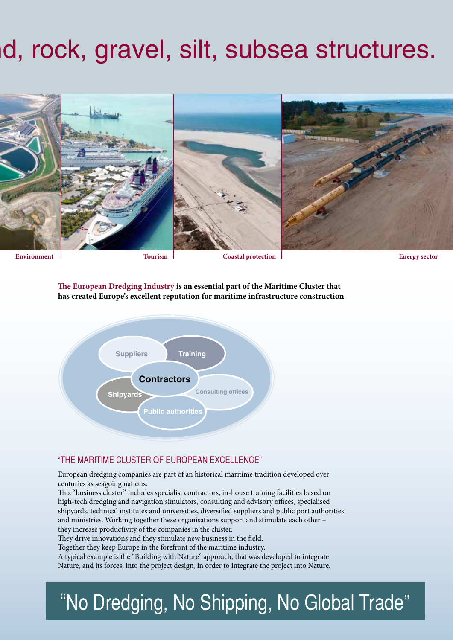# **d, rock, gravel, silt, subsea structures.**



**Energy sector**

**The European Dredging Industry is an essential part of the Maritime Cluster that has created Europe's excellent reputation for maritime infrastructure construction**.



# "THE MARITIME CLUSTER OF EUROPEAN EXCELLENCE"

European dredging companies are part of an historical maritime tradition developed over centuries as seagoing nations.

This "business cluster" includes specialist contractors, in-house training facilities based on high-tech dredging and navigation simulators, consulting and advisory offices, specialised shipyards, technical institutes and universities, diversified suppliers and public port authorities and ministries. Working together these organisations support and stimulate each other – they increase productivity of the companies in the cluster.

They drive innovations and they stimulate new business in the field.

Together they keep Europe in the forefront of the maritime industry.

A typical example is the "Building with Nature" approach, that was developed to integrate Nature, and its forces, into the project design, in order to integrate the project into Nature.

# "No Dredging, No Shipping, No Global Trade"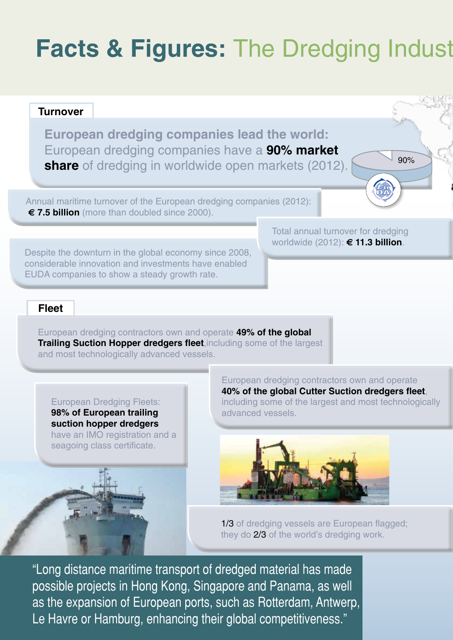# **Facts & Figures: The Dredging Indust**

# **European dredging companies lead the world:**  European dredging companies have a **90% market share** of dredging in worldwide open markets (2012). Annual maritime turnover of the European dredging companies (2012): **€ 7.5 billion** (more than doubled since 2000). 90% **Turnover**

Despite the downturn in the global economy since 2008, considerable innovation and investments have enabled EUDA companies to show a steady growth rate.

# Total annual turnover for dredging worldwide (2012): **€ 11.3 billion**.

# **Fleet**

European dredging contractors own and operate **49% of the global Trailing Suction Hopper dredgers fleet**,including some of the largest and most technologically advanced vessels.

European Dredging Fleets: **98% of European trailing suction hopper dredgers** have an IMO registration and a seagoing class certificate.

European dredging contractors own and operate **40% of the global Cutter Suction dredgers fleet**, including some of the largest and most technologically advanced vessels.



1/3 of dredging vessels are European flagged; they do 2/3 of the world's dredging work.

"Long distance maritime transport of dredged material has made possible projects in Hong Kong, Singapore and Panama, as well as the expansion of European ports, such as Rotterdam, Antwerp, Le Havre or Hamburg, enhancing their global competitiveness."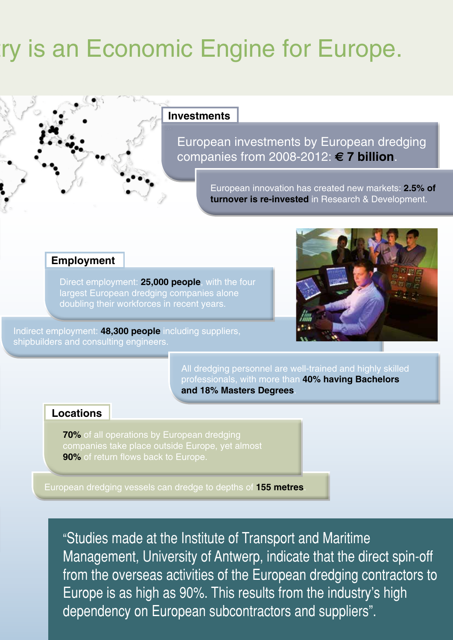# **Factor Express:** *Fracts* is an Economic Engine for Europe.

# **Investments**

European investments by European dredging companies from 2008-2012: **€ 7 billion**.

> European innovation has created new markets: **2.5% of turnover is re-invested** in Research & Development.

# **Employment**

Direct employment: **25,000 people**, with the four largest European dredging companies alone doubling their workforces in recent years.

Indirect employment: **48,300 people** including suppliers, shipbuilders and consulting engineers.



All dredging personnel are well-trained and highly skilled professionals, with more than **40% having Bachelors and 18% Masters Degrees**.

# **Locations**

**70%** of all operations by European dredging companies take place outside Europe, yet almost **90%** of return flows back to Europe.

European dredging vessels can dredge to depths of **155 metres**.

"Studies made at the Institute of Transport and Maritime Management, University of Antwerp, indicate that the direct spin-off from the overseas activities of the European dredging contractors to Europe is as high as 90%. This results from the industry's high dependency on European subcontractors and suppliers".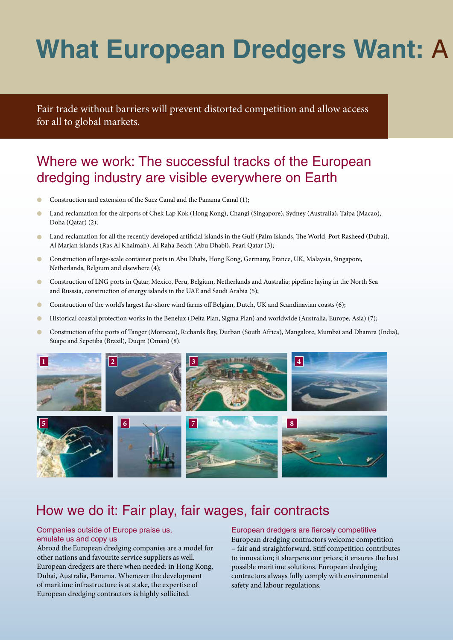# **What European Dredgers Want: A**

Fair trade without barriers will prevent distorted competition and allow access for all to global markets.

# Where we work: The successful tracks of the European dredging industry are visible everywhere on Earth

- Construction and extension of the Suez Canal and the Panama Canal (1);
- Land reclamation for the airports of Chek Lap Kok (Hong Kong), Changi (Singapore), Sydney (Australia), Taipa (Macao), Doha (Qatar) (2);
- Land reclamation for all the recently developed artificial islands in the Gulf (Palm Islands, The World, Port Rasheed (Dubai), Al Marjan islands (Ras Al Khaimah), Al Raha Beach (Abu Dhabi), Pearl Qatar (3);
- $\bullet$ Construction of large-scale container ports in Abu Dhabi, Hong Kong, Germany, France, UK, Malaysia, Singapore, Netherlands, Belgium and elsewhere (4);
- $\bigcirc$ Construction of LNG ports in Qatar, Mexico, Peru, Belgium, Netherlands and Australia; pipeline laying in the North Sea and Russsia, construction of energy islands in the UAE and Saudi Arabia (5);
- $\bullet$ Construction of the world's largest far-shore wind farms off Belgian, Dutch, UK and Scandinavian coasts (6);
- Historical coastal protection works in the Benelux (Delta Plan, Sigma Plan) and worldwide (Australia, Europe, Asia) (7);  $\bullet$
- $\bullet$ Construction of the ports of Tanger (Morocco), Richards Bay, Durban (South Africa), Mangalore, Mumbai and Dhamra (India), Suape and Sepetiba (Brazil), Duqm (Oman) (8).



# How we do it: Fair play, fair wages, fair contracts

# Companies outside of Europe praise us, emulate us and copy us

Abroad the European dredging companies are a model for other nations and favourite service suppliers as well. European dredgers are there when needed: in Hong Kong, Dubai, Australia, Panama. Whenever the development of maritime infrastructure is at stake, the expertise of European dredging contractors is highly sollicited.

### European dredgers are fiercely competitive

European dredging contractors welcome competition – fair and straightforward. Stiff competition contributes to innovation; it sharpens our prices; it ensures the best possible maritime solutions. European dredging contractors always fully comply with environmental safety and labour regulations.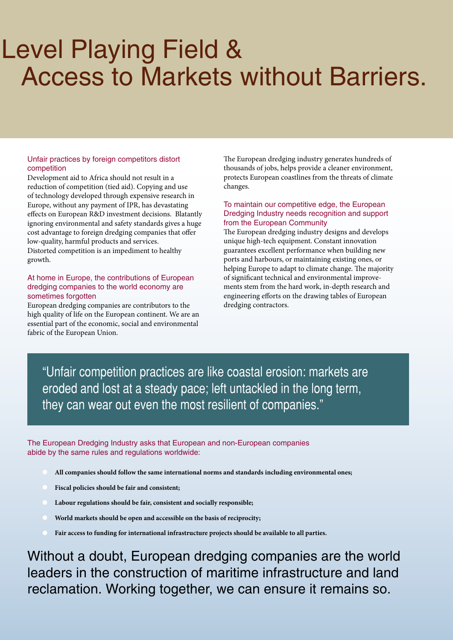# **Level Playing Field &** Access to Markets without Barriers.

# Unfair practices by foreign competitors distort competition

Development aid to Africa should not result in a reduction of competition (tied aid). Copying and use of technology developed through expensive research in Europe, without any payment of IPR, has devastating effects on European R&D investment decisions. Blatantly ignoring environmental and safety standards gives a huge cost advantage to foreign dredging companies that offer low-quality, harmful products and services. Distorted competition is an impediment to healthy growth.

## At home in Europe, the contributions of European dredging companies to the world economy are sometimes forgotten

European dredging companies are contributors to the high quality of life on the European continent. We are an essential part of the economic, social and environmental fabric of the European Union.

The European dredging industry generates hundreds of thousands of jobs, helps provide a cleaner environment, protects European coastlines from the threats of climate changes.

# To maintain our competitive edge, the European Dredging Industry needs recognition and support from the European Community

The European dredging industry designs and develops unique high-tech equipment. Constant innovation guarantees excellent performance when building new ports and harbours, or maintaining existing ones, or helping Europe to adapt to climate change. The majority of significant technical and environmental improvements stem from the hard work, in-depth research and engineering efforts on the drawing tables of European dredging contractors.

"Unfair competition practices are like coastal erosion: markets are eroded and lost at a steady pace; left untackled in the long term, they can wear out even the most resilient of companies."

The European Dredging Industry asks that European and non-European companies abide by the same rules and regulations worldwide:

- **All companies should follow the same international norms and standards including environmental ones;**
- **Fiscal policies should be fair and consistent;**
- **Labour regulations should be fair, consistent and socially responsible;**
- **World markets should be open and accessible on the basis of reciprocity;**
- **Fair access to funding for international infrastructure projects should be available to all parties.**

Without a doubt, European dredging companies are the world leaders in the construction of maritime infrastructure and land reclamation. Working together, we can ensure it remains so.